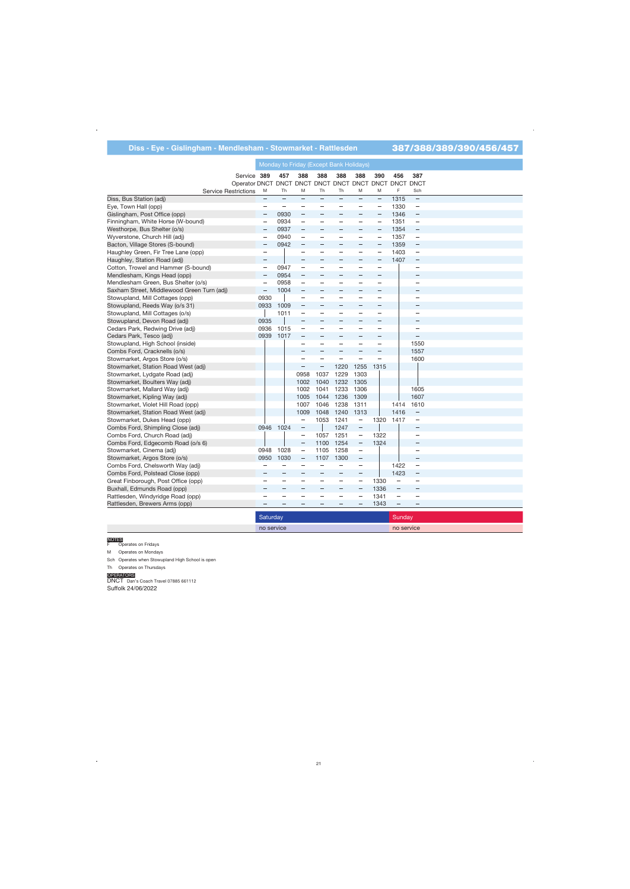# **Diss - Eye - Gislingham - Mendlesham - Stowmarket - Rattlesden** 387/388/389/390/456/457

|                                             |                          |                          | Monday to Friday (Except Bank Holidays) |                          |                          |                          |                          |                          |                                 |  |
|---------------------------------------------|--------------------------|--------------------------|-----------------------------------------|--------------------------|--------------------------|--------------------------|--------------------------|--------------------------|---------------------------------|--|
| Service 389                                 |                          | 457                      | 388                                     | 388                      | 388                      | 388                      | 390                      | 456                      | 387                             |  |
| Operator DNCT DNCT DNCT DNCT DNCT DNCT DNCT |                          |                          |                                         |                          |                          |                          |                          |                          | <b>DNCT DNCT</b>                |  |
| <b>Service Restrictions</b>                 | M                        | Th                       | M                                       | Th                       | <b>Th</b>                | M                        | M                        | F                        | Sch                             |  |
| Diss, Bus Station (adj)                     | $\equiv$                 | $\equiv$                 | $\equiv$                                | $\equiv$                 | $\overline{\phantom{m}}$ | $\equiv$                 | $\equiv$                 | 1315                     | $\qquad \qquad -$               |  |
| Eye, Town Hall (opp)                        | $\overline{\phantom{0}}$ | $\overline{\phantom{m}}$ | $\overline{\phantom{0}}$                | $\overline{\phantom{0}}$ |                          |                          | $\overline{\phantom{0}}$ | 1330                     | $\overline{\phantom{m}}$        |  |
| Gislingham, Post Office (opp)               | $\qquad \qquad -$        | 0930                     | $\qquad \qquad -$                       | $\overline{\phantom{0}}$ |                          | $\overline{\phantom{m}}$ | $\overline{\phantom{0}}$ | 1346                     | $\qquad \qquad -$               |  |
| Finningham, White Horse (W-bound)           | $\overline{\phantom{0}}$ | 0934                     | $\qquad \qquad -$                       | $\overline{\phantom{0}}$ | $\overline{\phantom{0}}$ | $\overline{\phantom{0}}$ | $\overline{\phantom{0}}$ | 1351                     | $\qquad \qquad -$               |  |
| Westhorpe, Bus Shelter (o/s)                |                          | 0937                     |                                         |                          |                          |                          | $\overline{\phantom{0}}$ | 1354                     | —                               |  |
| Wyverstone, Church Hill (adj)               | $\qquad \qquad -$        | 0940                     | $\qquad \qquad -$                       | $\overline{\phantom{0}}$ | $\overline{\phantom{m}}$ | $\overline{\phantom{m}}$ | $\qquad \qquad -$        | 1357                     | $\qquad \qquad -$               |  |
| Bacton, Village Stores (S-bound)            |                          | 0942                     |                                         |                          | ۳                        |                          |                          | 1359                     | $\hspace{0.1mm}-\hspace{0.1mm}$ |  |
| Haughley Green, Fir Tree Lane (opp)         | ÷                        |                          | $\overline{\phantom{0}}$                | $\overline{\phantom{0}}$ | $\overline{\phantom{0}}$ | $\overline{\phantom{0}}$ | $\overline{\phantom{0}}$ | 1403                     | $\qquad \qquad -$               |  |
| Haughley, Station Road (adj)                | $\overline{\phantom{0}}$ |                          | $\equiv$                                |                          |                          |                          | $\overline{\phantom{0}}$ | 1407                     | $\qquad \qquad -$               |  |
| Cotton, Trowel and Hammer (S-bound)         | -                        | 0947                     | $\overline{\phantom{m}}$                | $\overline{\phantom{0}}$ |                          | $\overline{\phantom{0}}$ | $\overline{\phantom{0}}$ |                          | $\overline{\phantom{m}}$        |  |
| Mendlesham, Kings Head (opp)                | $\qquad \qquad -$        | 0954                     | $\qquad \qquad -$                       | $\overline{\phantom{0}}$ |                          |                          | $\overline{\phantom{0}}$ |                          | $\qquad \qquad -$               |  |
| Mendlesham Green, Bus Shelter (o/s)         | -                        | 0958                     | $\overline{\phantom{m}}$                | -                        | $\overline{\phantom{a}}$ |                          | $\overline{\phantom{0}}$ |                          | $\overline{\phantom{0}}$        |  |
| Saxham Street, Middlewood Green Turn (adj)  |                          | 1004                     | $\overline{\phantom{0}}$                |                          |                          |                          |                          |                          |                                 |  |
| Stowupland, Mill Cottages (opp)             | 0930                     |                          | $\frac{1}{2}$                           |                          | ÷,                       |                          | $\overline{\phantom{0}}$ |                          | $\overline{\phantom{0}}$        |  |
| Stowupland, Reeds Way (o/s 31)              | 0933                     | 1009                     | $\overline{\phantom{0}}$                | $\equiv$                 | $\frac{1}{2}$            |                          | $\equiv$                 |                          | $\overline{\phantom{0}}$        |  |
| Stowupland, Mill Cottages (o/s)             |                          | 1011                     | $\qquad \qquad -$                       | $\overline{\phantom{0}}$ | $\overline{\phantom{m}}$ | $\overline{\phantom{a}}$ | $\overline{\phantom{0}}$ |                          | $\overline{\phantom{0}}$        |  |
| Stowupland, Devon Road (adj)                | 0935                     |                          | $\qquad \qquad -$                       |                          |                          |                          |                          |                          | -                               |  |
| Cedars Park, Redwing Drive (adj)            | 0936                     | 1015                     | $\qquad \qquad -$                       |                          | $\overline{\phantom{0}}$ |                          | $\overline{\phantom{0}}$ |                          | $\overline{\phantom{0}}$        |  |
| Cedars Park, Tesco (adj)                    | 0939                     | 1017                     | $\qquad \qquad -$                       |                          |                          |                          | $\equiv$                 |                          | L                               |  |
| Stowupland, High School (inside)            |                          |                          | $\equiv$                                | $\equiv$                 | $\equiv$                 | $\equiv$                 | $\overline{\phantom{0}}$ |                          | 1550                            |  |
| Combs Ford, Cracknells (o/s)                |                          |                          |                                         |                          |                          |                          |                          |                          | 1557                            |  |
| Stowmarket, Argos Store (o/s)               |                          |                          |                                         |                          | $\overline{\phantom{0}}$ | $\overline{\phantom{0}}$ | $\overline{\phantom{0}}$ |                          | 1600                            |  |
| Stowmarket, Station Road West (adj)         |                          |                          | $\equiv$                                | $\overline{\phantom{0}}$ | 1220                     | 1255                     | 1315                     |                          |                                 |  |
| Stowmarket, Lydgate Road (adj)              |                          |                          | 0958                                    | 1037                     | 1229                     | 1303                     |                          |                          |                                 |  |
| Stowmarket, Boulters Way (adj)              |                          |                          | 1002                                    | 1040                     | 1232                     | 1305                     |                          |                          |                                 |  |
| Stowmarket, Mallard Way (adj)               |                          |                          | 1002                                    | 1041                     | 1233                     | 1306                     |                          |                          | 1605                            |  |
| Stowmarket, Kipling Way (adj)               |                          |                          | 1005                                    | 1044                     | 1236                     | 1309                     |                          |                          | 1607                            |  |
| Stowmarket, Violet Hill Road (opp)          |                          |                          | 1007                                    | 1046                     | 1238                     | 1311                     |                          | 1414                     | 1610                            |  |
| Stowmarket, Station Road West (adj)         |                          |                          | 1009                                    | 1048                     | 1240                     | 1313                     |                          | 1416                     | $\overline{\phantom{0}}$        |  |
| Stowmarket, Dukes Head (opp)                |                          |                          | $\overline{\phantom{m}}$                | 1053                     | 1241                     | $\overline{\phantom{m}}$ | 1320                     | 1417                     | $\overline{\phantom{m}}$        |  |
| Combs Ford, Shimpling Close (adj)           |                          | 0946 1024                | $\hspace{1.0cm} - \hspace{1.0cm}$       |                          | 1247                     | $\overline{\phantom{0}}$ |                          |                          | $\qquad \qquad -$               |  |
| Combs Ford, Church Road (adj)               |                          |                          | $\equiv$                                | 1057                     | 1251                     | $\overline{\phantom{0}}$ | 1322                     |                          | $\overline{\phantom{0}}$        |  |
| Combs Ford, Edgecomb Road (o/s 6)           |                          |                          | $\overline{\phantom{m}}$                | 1100                     | 1254                     | $\qquad \qquad -$        | 1324                     |                          | $\equiv$                        |  |
| Stowmarket, Cinema (adj)                    | 0948                     | 1028                     | $\overline{\phantom{0}}$                | 1105                     | 1258                     | $\overline{\phantom{0}}$ |                          |                          | $\overline{\phantom{0}}$        |  |
| Stowmarket, Argos Store (o/s)               | 0950                     | 1030                     | $\qquad \qquad -$                       | 1107                     | 1300                     | $\overline{\phantom{m}}$ |                          |                          | $\overline{\phantom{0}}$        |  |
| Combs Ford, Chelsworth Way (adj)            | $\overline{\phantom{0}}$ | $\overline{\phantom{m}}$ | $\overline{\phantom{0}}$                | $\overline{\phantom{m}}$ | $\overline{\phantom{m}}$ | $\overline{\phantom{m}}$ |                          | 1422                     | $\hspace{0.1mm}-\hspace{0.1mm}$ |  |
| Combs Ford, Polstead Close (opp)            |                          | $-$                      |                                         |                          |                          | $\qquad \qquad -$        |                          | 1423                     | $\overline{\phantom{0}}$        |  |
| Great Finborough, Post Office (opp)         |                          | $\overline{\phantom{0}}$ | $\equiv$                                | $\equiv$                 | $\overline{\phantom{m}}$ | $\overline{\phantom{m}}$ | 1330                     | $\overline{\phantom{0}}$ | $\overline{\phantom{m}}$        |  |
| Buxhall, Edmunds Road (opp)                 |                          | $\sim$                   |                                         |                          |                          |                          | 1336                     | $\overline{\phantom{0}}$ | $\overline{\phantom{0}}$        |  |
| Rattlesden, Windyridge Road (opp)           |                          | -                        | $\overline{\phantom{0}}$                |                          | $\overline{\phantom{0}}$ | $\overline{\phantom{0}}$ | 1341                     | $\overline{\phantom{m}}$ |                                 |  |
| Rattlesden, Brewers Arms (opp)              |                          | $\overline{\phantom{0}}$ | $\equiv$                                | $\equiv$                 | $\overline{\phantom{a}}$ | $\qquad \qquad -$        | 1343                     | $\qquad \qquad -$        | $\overline{\phantom{0}}$        |  |
|                                             |                          |                          |                                         |                          |                          |                          |                          |                          |                                 |  |
|                                             | Saturday                 |                          |                                         |                          |                          |                          |                          | Sunday                   |                                 |  |

no service no service

NOTES<br>F Operates on Fridays

M Operates on Mondays

Sch Operates when Stowupland High School is open

Th Operates on Thursdays

OPERATORS<br>DNCT Dan's Coach Travel 07885 661112 Suffolk 24/06/2022